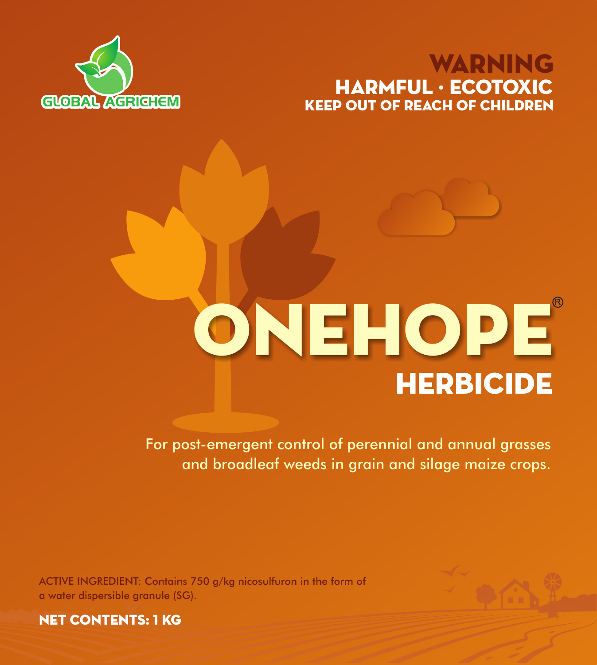# KEEP OUT OF REACH OF CHILDREN WARNING HARMFUL · ECOTOXIC



# **HERBICIDE** ONEHOPE

For post-emergent control of perennial and annual grasses and broadleaf weeds in grain and silage maize crops.

ACTIVE INGREDIENT: Contains 750 g/kg nicosulfuron in the form of a water dispersible granule (SG).



NET CONTENTS: 1 Kg